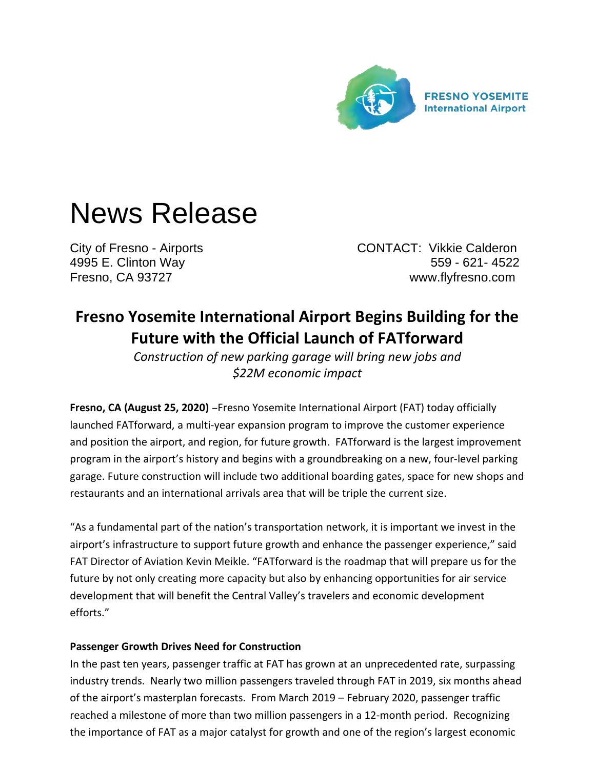

# News Release

City of Fresno - Airports CONTACT: Vikkie Calderon 4995 E. Clinton Way 559 - 621- 4522 Fresno, CA 93727 www.flyfresno.com

# **Fresno Yosemite International Airport Begins Building for the Future with the Official Launch of FATforward**

*Construction of new parking garage will bring new jobs and \$22M economic impact*

**Fresno, CA (August 25, 2020)** –Fresno Yosemite International Airport (FAT) today officially launched FATforward, a multi-year expansion program to improve the customer experience and position the airport, and region, for future growth. FATforward is the largest improvement program in the airport's history and begins with a groundbreaking on a new, four-level parking garage. Future construction will include two additional boarding gates, space for new shops and restaurants and an international arrivals area that will be triple the current size.

"As a fundamental part of the nation's transportation network, it is important we invest in the airport's infrastructure to support future growth and enhance the passenger experience," said FAT Director of Aviation Kevin Meikle. "FATforward is the roadmap that will prepare us for the future by not only creating more capacity but also by enhancing opportunities for air service development that will benefit the Central Valley's travelers and economic development efforts."

### **Passenger Growth Drives Need for Construction**

In the past ten years, passenger traffic at FAT has grown at an unprecedented rate, surpassing industry trends. Nearly two million passengers traveled through FAT in 2019, six months ahead of the airport's masterplan forecasts. From March 2019 – February 2020, passenger traffic reached a milestone of more than two million passengers in a 12-month period. Recognizing the importance of FAT as a major catalyst for growth and one of the region's largest economic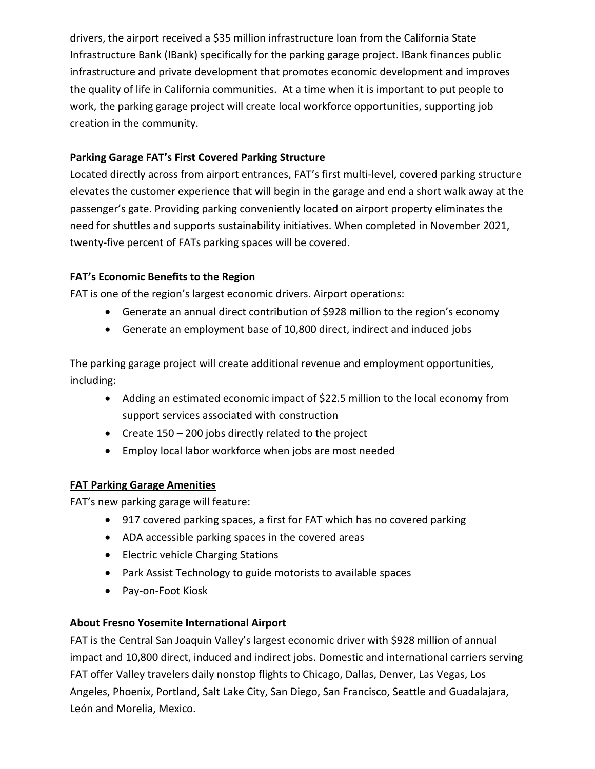drivers, the airport received a \$35 million infrastructure loan from the California State Infrastructure Bank (IBank) specifically for the parking garage project. IBank finances public infrastructure and private development that promotes economic development and improves the quality of life in California communities. At a time when it is important to put people to work, the parking garage project will create local workforce opportunities, supporting job creation in the community.

## **Parking Garage FAT's First Covered Parking Structure**

Located directly across from airport entrances, FAT's first multi-level, covered parking structure elevates the customer experience that will begin in the garage and end a short walk away at the passenger's gate. Providing parking conveniently located on airport property eliminates the need for shuttles and supports sustainability initiatives. When completed in November 2021, twenty-five percent of FATs parking spaces will be covered.

# **FAT's Economic Benefits to the Region**

FAT is one of the region's largest economic drivers. Airport operations:

- Generate an annual direct contribution of \$928 million to the region's economy
- Generate an employment base of 10,800 direct, indirect and induced jobs

The parking garage project will create additional revenue and employment opportunities, including:

- Adding an estimated economic impact of \$22.5 million to the local economy from support services associated with construction
- Create 150 200 jobs directly related to the project
- Employ local labor workforce when jobs are most needed

### **FAT Parking Garage Amenities**

FAT's new parking garage will feature:

- 917 covered parking spaces, a first for FAT which has no covered parking
- ADA accessible parking spaces in the covered areas
- Electric vehicle Charging Stations
- Park Assist Technology to guide motorists to available spaces
- Pay-on-Foot Kiosk

### **About Fresno Yosemite International Airport**

FAT is the Central San Joaquin Valley's largest economic driver with \$928 million of annual impact and 10,800 direct, induced and indirect jobs. Domestic and international carriers serving FAT offer Valley travelers daily nonstop flights to Chicago, Dallas, Denver, Las Vegas, Los Angeles, Phoenix, Portland, Salt Lake City, San Diego, San Francisco, Seattle and Guadalajara, León and Morelia, Mexico.